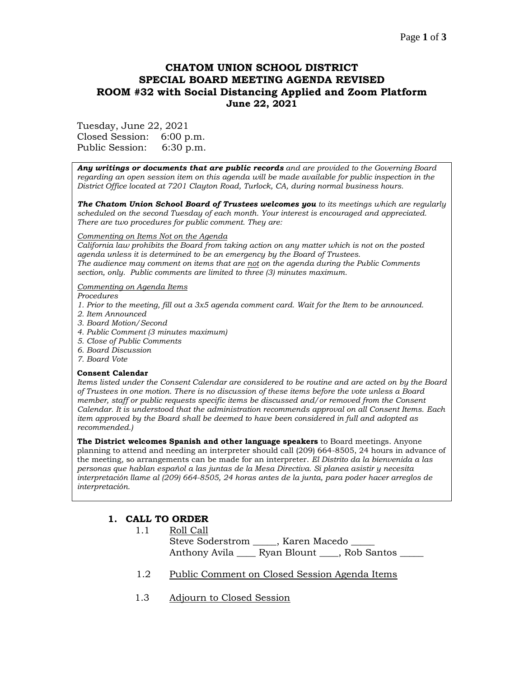### Page **1** of **3**

# **CHATOM UNION SCHOOL DISTRICT SPECIAL BOARD MEETING AGENDA REVISED ROOM #32 with Social Distancing Applied and Zoom Platform June 22, 2021**

Tuesday, June 22, 2021 Closed Session: 6:00 p.m. Public Session: 6:30 p.m.

*Any writings or documents that are public records and are provided to the Governing Board regarding an open session item on this agenda will be made available for public inspection in the District Office located at 7201 Clayton Road, Turlock, CA, during normal business hours.*

*The Chatom Union School Board of Trustees welcomes you to its meetings which are regularly scheduled on the second Tuesday of each month. Your interest is encouraged and appreciated. There are two procedures for public comment. They are:*

#### *Commenting on Items Not on the Agenda*

*California law prohibits the Board from taking action on any matter which is not on the posted agenda unless it is determined to be an emergency by the Board of Trustees. The audience may comment on items that are not on the agenda during the Public Comments section, only. Public comments are limited to three (3) minutes maximum.*

#### *Commenting on Agenda Items*

*Procedures* 

- *1. Prior to the meeting, fill out a 3x5 agenda comment card. Wait for the Item to be announced.*
- *2. Item Announced*
- *3. Board Motion/Second*
- *4. Public Comment (3 minutes maximum)*
- *5. Close of Public Comments*
- *6. Board Discussion*
- *7. Board Vote*

#### **Consent Calendar**

*Items listed under the Consent Calendar are considered to be routine and are acted on by the Board of Trustees in one motion. There is no discussion of these items before the vote unless a Board member, staff or public requests specific items be discussed and/or removed from the Consent Calendar. It is understood that the administration recommends approval on all Consent Items. Each item approved by the Board shall be deemed to have been considered in full and adopted as recommended.)*

**The District welcomes Spanish and other language speakers** to Board meetings. Anyone planning to attend and needing an interpreter should call (209) 664-8505, 24 hours in advance of the meeting, so arrangements can be made for an interpreter. *El Distrito da la bienvenida a las personas que hablan español a las juntas de la Mesa Directiva. Si planea asistir y necesita interpretación llame al (209) 664-8505, 24 horas antes de la junta, para poder hacer arreglos de interpretación.*

## **1. CALL TO ORDER**

| 1.1 | Roll Call                            |                          |  |
|-----|--------------------------------------|--------------------------|--|
|     |                                      | Steve Soderstrom Flacedo |  |
|     | Anthony Avila Ryan Blount Rob Santos |                          |  |

- 1.2 Public Comment on Closed Session Agenda Items
- 1.3 Adjourn to Closed Session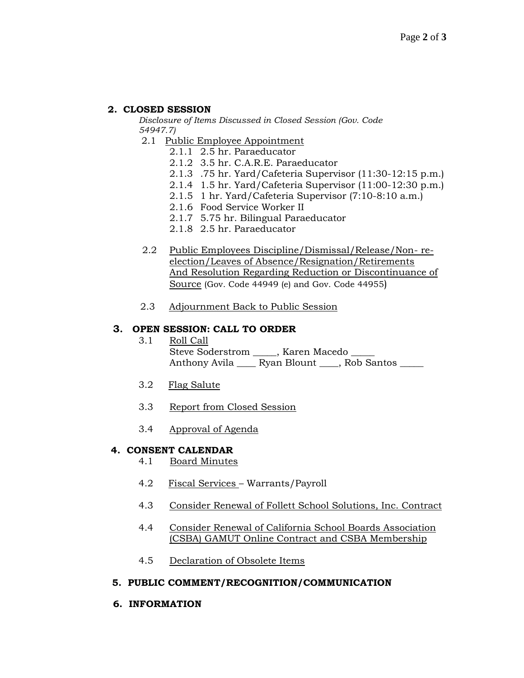## **2. CLOSED SESSION**

*Disclosure of Items Discussed in Closed Session (Gov. Code 54947.7)*

- 2.1 Public Employee Appointment
	- 2.1.1 2.5 hr. Paraeducator
	- 2.1.2 3.5 hr. C.A.R.E. Paraeducator
	- 2.1.3 .75 hr. Yard/Cafeteria Supervisor (11:30-12:15 p.m.)
	- 2.1.4 1.5 hr. Yard/Cafeteria Supervisor (11:00-12:30 p.m.)
	- 2.1.5 1 hr. Yard/Cafeteria Supervisor (7:10-8:10 a.m.)
	- 2.1.6 Food Service Worker II
	- 2.1.7 5.75 hr. Bilingual Paraeducator
	- 2.1.8 2.5 hr. Paraeducator
- 2.2 Public Employees Discipline/Dismissal/Release/Non- reelection/Leaves of Absence/Resignation/Retirements And Resolution Regarding Reduction or Discontinuance of Source (Gov. Code 44949 (e) and Gov. Code 44955)
- 2.3 Adjournment Back to Public Session

## **3. OPEN SESSION: CALL TO ORDER**

- 3.1 Roll Call Steve Soderstrom \_\_\_\_, Karen Macedo \_\_\_\_ Anthony Avila \_\_\_\_ Ryan Blount \_\_\_, Rob Santos \_\_\_\_
- 3.2 Flag Salute
- 3.3 Report from Closed Session
- 3.4 Approval of Agenda

### **4. CONSENT CALENDAR**

- 4.1 Board Minutes
- 4.2 Fiscal Services Warrants/Payroll
- 4.3 Consider Renewal of Follett School Solutions, Inc. Contract
- 4.4 Consider Renewal of California School Boards Association (CSBA) GAMUT Online Contract and CSBA Membership
- 4.5 Declaration of Obsolete Items

### **5. PUBLIC COMMENT/RECOGNITION/COMMUNICATION**

### **6. INFORMATION**